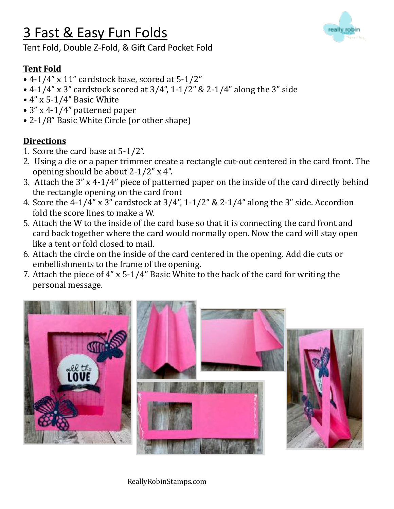# 3 Fast & Easy Fun Folds



Tent Fold, Double Z-Fold, & Gift Card Pocket Fold

## **Tent Fold**

- $\bullet$  4-1/4" x 11" cardstock base, scored at 5-1/2"
- 4-1/4" x 3" cardstock scored at  $3/4$ ", 1-1/2" & 2-1/4" along the 3" side
- $4$ " x 5-1/4" Basic White
- 3" x 4-1/4" patterned paper
- 2-1/8" Basic White Circle (or other shape)

### **Directions**

- 1. Score the card base at  $5-1/2$ ".
- 2. Using a die or a paper trimmer create a rectangle cut-out centered in the card front. The opening should be about  $2-1/2$ " x 4".
- 3. Attach the  $3''$  x 4-1/4" piece of patterned paper on the inside of the card directly behind the rectangle opening on the card front
- 4. Score the  $4-1/4$ " x 3" cardstock at  $3/4$ ",  $1-1/2$ " &  $2-1/4$ " along the 3" side. Accordion fold the score lines to make a W.
- 5. Attach the W to the inside of the card base so that it is connecting the card front and card back together where the card would normally open. Now the card will stay open like a tent or fold closed to mail.
- 6. Attach the circle on the inside of the card centered in the opening. Add die cuts or embellishments to the frame of the opening.
- 7. Attach the piece of  $4$ " x 5-1/4" Basic White to the back of the card for writing the personal message.



ReallyRobinStamps.com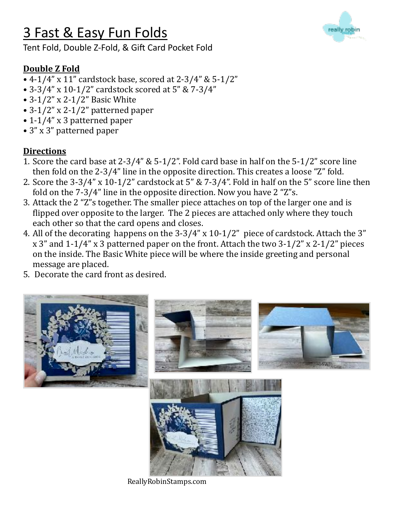# 3 Fast & Easy Fun Folds

Tent Fold, Double Z-Fold, & Gift Card Pocket Fold



- 4-1/4" x 11" cardstock base, scored at  $2-3/4$ " &  $5-1/2$ "
- 3-3/4" x 10-1/2" cardstock scored at  $5$ " &  $7-3/4$ "
- $3-1/2$ " x  $2-1/2$ " Basic White
- $3-1/2$ " x 2-1/2" patterned paper
- $\cdot$  1-1/4" x 3 patterned paper
- 3" x 3" patterned paper

## **Directions**

- 1. Score the card base at  $2-3/4$ " &  $5-1/2$ ". Fold card base in half on the  $5-1/2$ " score line then fold on the 2-3/4" line in the opposite direction. This creates a loose "Z" fold.
- 2. Score the  $3-3/4$ " x  $10-1/2$ " cardstock at  $5$ " &  $7-3/4$ ". Fold in half on the  $5$ " score line then fold on the  $7-3/4$ " line in the opposite direction. Now you have  $2$  "Z"s.
- 3. Attack the 2 "Z"s together. The smaller piece attaches on top of the larger one and is flipped over opposite to the larger. The 2 pieces are attached only where they touch each other so that the card opens and closes.
- 4. All of the decorating happens on the  $3-3/4$ " x  $10-1/2$ " piece of cardstock. Attach the 3"  $x 3$ " and  $1-1/4$ "  $x 3$  patterned paper on the front. Attach the two  $3-1/2$ "  $x 2-1/2$ " pieces on the inside. The Basic White piece will be where the inside greeting and personal message are placed.
- 5. Decorate the card front as desired.



ReallyRobinStamps.com